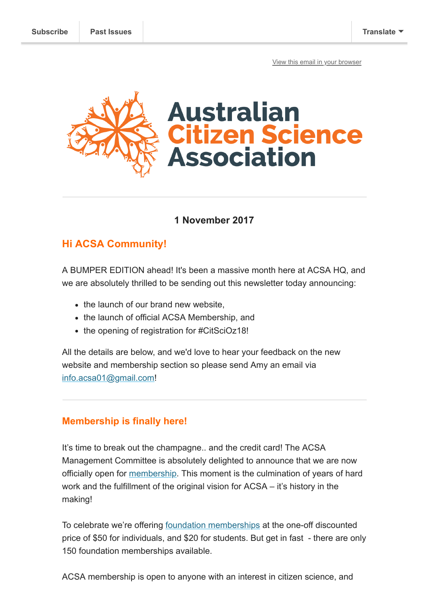[View this email in your browser](https://mailchi.mp/5fd01b88cc06/its-launch-day-acsa-website-acsa-membership-and-citscioz18-registration?e=[UNIQID])



## **1 November 2017**

# **Hi ACSA Community!**

A BUMPER EDITION ahead! It's been a massive month here at ACSA HQ, and we are absolutely thrilled to be sending out this newsletter today announcing:

- the launch of our brand new website.
- the launch of official ACSA Membership, and
- the opening of registration for #CitSciOz18!

All the details are below, and we'd love to hear your feedback on the new website and membership section so please send Amy an email via [info.acsa01@gmail.com](mailto:info.acsa01@gmail.com)!

## **Membership is finally here!**

It's time to break out the champagne.. and the credit card! The ACSA Management Committee is absolutely delighted to announce that we are now officially open for [membership.](http://www.citizenscience.org.au/join-now/) This moment is the culmination of years of hard work and the fulfillment of the original vision for ACSA – it's history in the making!

To celebrate we're offering [foundation memberships](http://www.citizenscience.org.au/join-now/) at the one-off discounted price of \$50 for individuals, and \$20 for students. But get in fast - there are only 150 foundation memberships available.

ACSA membership is open to anyone with an interest in citizen science, and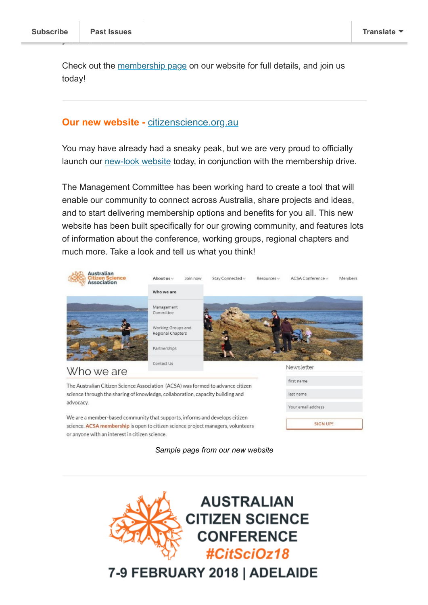Check out the [membership page](http://www.citizenscience.org.au/join-now/) on our website for full details, and join us today!

#### **Our new website - [citizenscience.org.au](http://citizenscience.org.au/)**

You may have already had a sneaky peak, but we are very proud to officially launch our [new-look website](http://www.citizenscience.org.au/) today, in conjunction with the membership drive.

The Management Committee has been working hard to create a tool that will enable our community to connect across Australia, share projects and ideas, and to start delivering membership options and benefits for you all. This new website has been built specifically for our growing community, and features lots of information about the conference, working groups, regional chapters and much more. Take a look and tell us what you think!



science. ACSA membership is open to citizen science project managers, volunteers or anyone with an interest in citizen science.

*Sample page from our new website*

**SIGN UP!** 



7-9 FEBRUARY 2018 | ADELAIDE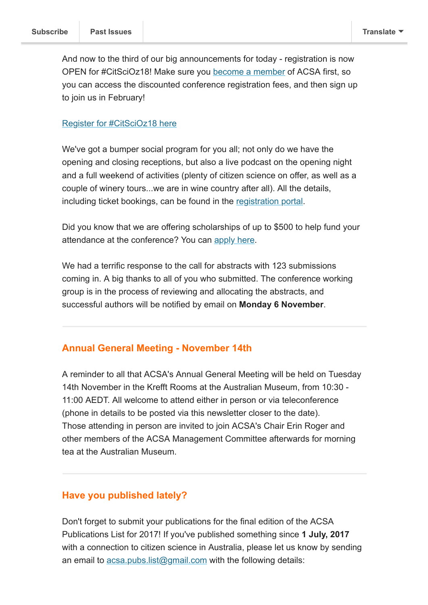And now to the third of our big announcements for today - registration is now OPEN for #CitSciOz18! Make sure you [become a member](http://citizenscience.org.au/join-now/) of ACSA first, so you can access the discounted conference registration fees, and then sign up to join us in February!

#### [Register for #CitSciOz18 here](https://pecbookings.eventsair.com/citscioz18/registration)

We've got a bumper social program for you all; not only do we have the opening and closing receptions, but also a live podcast on the opening night and a full weekend of activities (plenty of citizen science on offer, as well as a couple of winery tours...we are in wine country after all). All the details, including ticket bookings, can be found in the [registration portal](https://pecbookings.eventsair.com/citscioz18/registration).

Did you know that we are offering scholarships of up to \$500 to help fund your attendance at the conference? You can [apply here.](https://apac01.safelinks.protection.outlook.com/?url=https%3A%2F%2Fdocs.google.com%2Fforms%2Fd%2Fe%2F1FAIpQLSdQQp_VBO8teREiuhhTeSzKqGriWQkz71Wov9kVb6-ZGVLCNQ%2Fviewform&data=02%7C01%7CAmy.Slocombe%40austmus.gov.au%7C011e1da17c6648e6ba7f08d51f6c1f15%7C6ee75868f5d64c8cb4cda3ddce30cfd6%7C0%7C0%7C636449471596954575&sdata=qRqWDeORoNhL9G%2FTJzvBFAxO7lPMn2%2FgM0uVIxTfOkE%3D&reserved=0)

We had a terrific response to the call for abstracts with 123 submissions coming in. A big thanks to all of you who submitted. The conference working group is in the process of reviewing and allocating the abstracts, and successful authors will be notified by email on **Monday 6 November**.

### **Annual General Meeting - November 14th**

A reminder to all that ACSA's Annual General Meeting will be held on Tuesday 14th November in the Krefft Rooms at the Australian Museum, from 10:30 - 11:00 AEDT. All welcome to attend either in person or via teleconference (phone in details to be posted via this newsletter closer to the date). Those attending in person are invited to join ACSA's Chair Erin Roger and other members of the ACSA Management Committee afterwards for morning tea at the Australian Museum.

#### **Have you published lately?**

Don't forget to submit your publications for the final edition of the ACSA Publications List for 2017! If you've published something since **1 July, 2017** with a connection to citizen science in Australia, please let us know by sending an email to [acsa.pubs.list@gmail.com](mailto:acsa.pubs.list@gmail.com) with the following details: